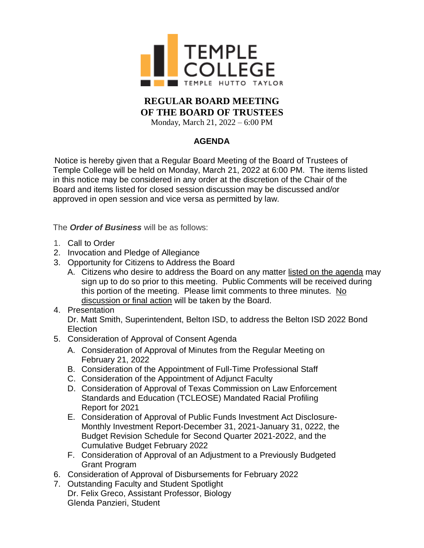

## **REGULAR BOARD MEETING OF THE BOARD OF TRUSTEES**

Monday, March 21, 2022 – 6:00 PM

## **AGENDA**

Notice is hereby given that a Regular Board Meeting of the Board of Trustees of Temple College will be held on Monday, March 21, 2022 at 6:00 PM. The items listed in this notice may be considered in any order at the discretion of the Chair of the Board and items listed for closed session discussion may be discussed and/or approved in open session and vice versa as permitted by law.

The *Order of Business* will be as follows:

- 1. Call to Order
- 2. Invocation and Pledge of Allegiance
- 3. Opportunity for Citizens to Address the Board
	- A. Citizens who desire to address the Board on any matter listed on the agenda may sign up to do so prior to this meeting. Public Comments will be received during this portion of the meeting. Please limit comments to three minutes. No discussion or final action will be taken by the Board.
- 4. Presentation Dr. Matt Smith, Superintendent, Belton ISD, to address the Belton ISD 2022 Bond Election
- 5. Consideration of Approval of Consent Agenda
	- A. Consideration of Approval of Minutes from the Regular Meeting on February 21, 2022
	- B. Consideration of the Appointment of Full-Time Professional Staff
	- C. Consideration of the Appointment of Adjunct Faculty
	- D. Consideration of Approval of Texas Commission on Law Enforcement Standards and Education (TCLEOSE) Mandated Racial Profiling Report for 2021
	- E. Consideration of Approval of Public Funds Investment Act Disclosure-Monthly Investment Report-December 31, 2021-January 31, 0222, the Budget Revision Schedule for Second Quarter 2021-2022, and the Cumulative Budget February 2022
	- F. Consideration of Approval of an Adjustment to a Previously Budgeted Grant Program
- 6. Consideration of Approval of Disbursements for February 2022
- 7. Outstanding Faculty and Student Spotlight Dr. Felix Greco, Assistant Professor, Biology Glenda Panzieri, Student